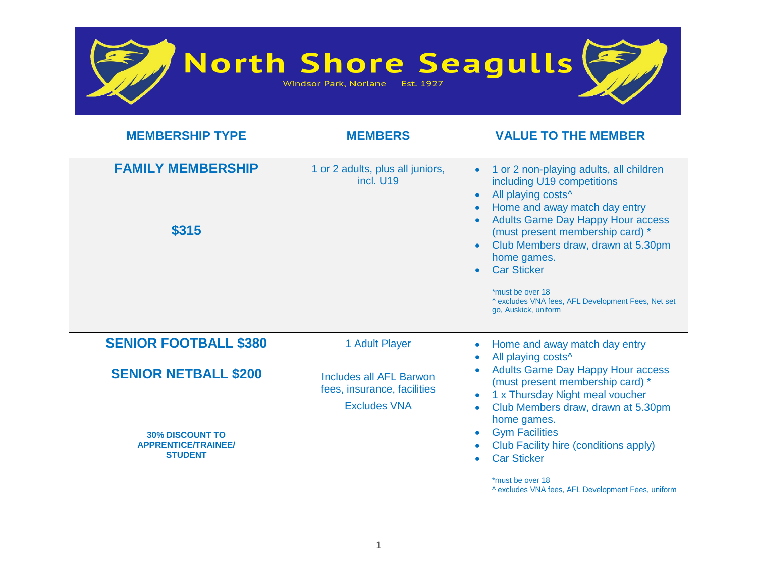

North Shore Seagulls  $\bigotimes_{\text{Windsor Park, Norlane} \text{ Est. 1927}} \bigotimes$ 



| <b>MEMBERSHIP TYPE</b>                                                                                | <b>MEMBERS</b>                                                                       | <b>VALUE TO THE MEMBER</b>                                                                                                                                                                                                                                   |
|-------------------------------------------------------------------------------------------------------|--------------------------------------------------------------------------------------|--------------------------------------------------------------------------------------------------------------------------------------------------------------------------------------------------------------------------------------------------------------|
| <b>FAMILY MEMBERSHIP</b>                                                                              | 1 or 2 adults, plus all juniors,<br>incl. U19                                        | 1 or 2 non-playing adults, all children<br>including U19 competitions<br>All playing costs^<br>Home and away match day entry                                                                                                                                 |
| \$315                                                                                                 |                                                                                      | <b>Adults Game Day Happy Hour access</b><br>(must present membership card) *<br>Club Members draw, drawn at 5.30pm<br>home games.<br><b>Car Sticker</b><br>*must be over 18<br>^ excludes VNA fees, AFL Development Fees, Net set<br>go, Auskick, uniform    |
| <b>SENIOR FOOTBALL \$380</b>                                                                          | 1 Adult Player<br>Home and away match day entry                                      | All playing costs^                                                                                                                                                                                                                                           |
| <b>SENIOR NETBALL \$200</b><br><b>30% DISCOUNT TO</b><br><b>APPRENTICE/TRAINEE/</b><br><b>STUDENT</b> | <b>Includes all AFL Barwon</b><br>fees, insurance, facilities<br><b>Excludes VNA</b> | <b>Adults Game Day Happy Hour access</b><br>(must present membership card) *<br>1 x Thursday Night meal voucher<br>Club Members draw, drawn at 5.30pm<br>home games.<br><b>Gym Facilities</b><br>Club Facility hire (conditions apply)<br><b>Car Sticker</b> |
|                                                                                                       |                                                                                      | *must be over 18                                                                                                                                                                                                                                             |

^ excludes VNA fees, AFL Development Fees, uniform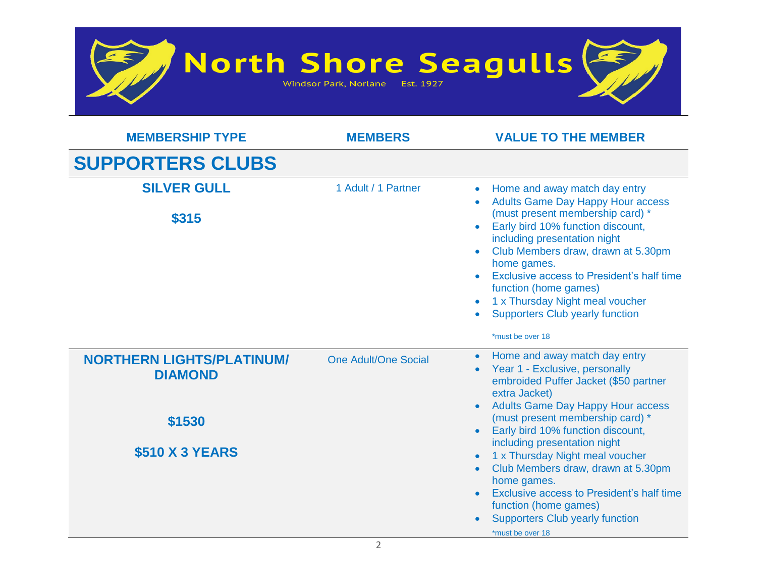

| <b>MEMBERSHIP TYPE</b>                                                                 | <b>MEMBERS</b>              | <b>VALUE TO THE MEMBER</b>                                                                                                                                                                                                                                                                                                                                                                                                                                                                                              |
|----------------------------------------------------------------------------------------|-----------------------------|-------------------------------------------------------------------------------------------------------------------------------------------------------------------------------------------------------------------------------------------------------------------------------------------------------------------------------------------------------------------------------------------------------------------------------------------------------------------------------------------------------------------------|
| <b>SUPPORTERS CLUBS</b>                                                                |                             |                                                                                                                                                                                                                                                                                                                                                                                                                                                                                                                         |
| <b>SILVER GULL</b><br>\$315                                                            | 1 Adult / 1 Partner         | Home and away match day entry<br><b>Adults Game Day Happy Hour access</b><br>(must present membership card) *<br>Early bird 10% function discount,<br>including presentation night<br>Club Members draw, drawn at 5.30pm<br>home games.<br>Exclusive access to President's half time<br>function (home games)<br>1 x Thursday Night meal voucher<br><b>Supporters Club yearly function</b><br>*must be over 18                                                                                                          |
| <b>NORTHERN LIGHTS/PLATINUM/</b><br><b>DIAMOND</b><br>\$1530<br><b>\$510 X 3 YEARS</b> | <b>One Adult/One Social</b> | Home and away match day entry<br>$\bullet$<br>Year 1 - Exclusive, personally<br>embroided Puffer Jacket (\$50 partner<br>extra Jacket)<br><b>Adults Game Day Happy Hour access</b><br>(must present membership card) *<br>Early bird 10% function discount,<br>including presentation night<br>1 x Thursday Night meal voucher<br>Club Members draw, drawn at 5.30pm<br>home games.<br>Exclusive access to President's half time<br>function (home games)<br><b>Supporters Club yearly function</b><br>*must be over 18 |